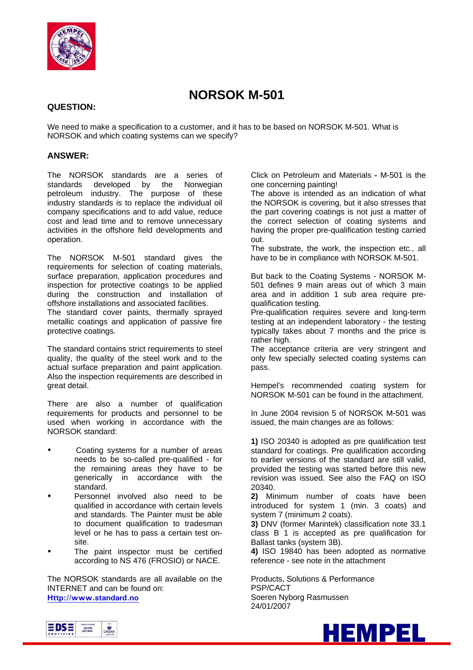

# **NORSOK M-501**

#### **QUESTION:**

We need to make a specification to a customer, and it has to be based on NORSOK M-501. What is NORSOK and which coating systems can we specify?

#### **ANSWER:**

The NORSOK standards are a series of standards developed by the Norwegian petroleum industry. The purpose of these industry standards is to replace the individual oil company specifications and to add value, reduce cost and lead time and to remove unnecessary activities in the offshore field developments and operation.

The NORSOK M-501 standard gives the requirements for selection of coating materials, surface preparation, application procedures and inspection for protective coatings to be applied during the construction and installation of offshore installations and associated facilities. The standard cover paints, thermally sprayed metallic coatings and application of passive fire protective coatings.

The standard contains strict requirements to steel quality, the quality of the steel work and to the actual surface preparation and paint application. Also the inspection requirements are described in great detail.

There are also a number of qualification requirements for products and personnel to be used when working in accordance with the NORSOK standard:

- Coating systems for a number of areas needs to be so-called pre-qualified - for the remaining areas they have to be generically in accordance with the standard.
- Personnel involved also need to be qualified in accordance with certain levels and standards. The Painter must be able to document qualification to tradesman level or he has to pass a certain test onsite.
- The paint inspector must be certified according to NS 476 (FROSIO) or NACE.

The NORSOK standards are all available on the INTERNET and can be found on: **Http://www.standard.no**

Click on Petroleum and Materials **-** M-501 is the one concerning painting!

The above is intended as an indication of what the NORSOK is covering, but it also stresses that the part covering coatings is not just a matter of the correct selection of coating systems and having the proper pre-qualification testing carried out.

The substrate, the work, the inspection etc., all have to be in compliance with NORSOK M-501.

But back to the Coating Systems - NORSOK M-501 defines 9 main areas out of which 3 main area and in addition 1 sub area require prequalification testing.

Pre-qualification requires severe and long-term testing at an independent laboratory - the testing typically takes about 7 months and the price is rather high.

The acceptance criteria are very stringent and only few specially selected coating systems can pass.

Hempel's recommended coating system for NORSOK M-501 can be found in the attachment.

In June 2004 revision 5 of NORSOK M-501 was issued, the main changes are as follows:

**1)** ISO 20340 is adopted as pre qualification test standard for coatings. Pre qualification according to earlier versions of the standard are still valid, provided the testing was started before this new revision was issued. See also the FAQ on ISO 20340.

**2)** Minimum number of coats have been introduced for system 1 (min. 3 coats) and system 7 (minimum 2 coats).

**3)** DNV (former Marintek) classification note 33.1 class B 1 is accepted as pre qualification for Ballast tanks (system 3B).

**4)** ISO 19840 has been adopted as normative reference - see note in the attachment

Products, Solutions & Performance PSP/CACT Soeren Nyborg Rasmussen 24/01/2007



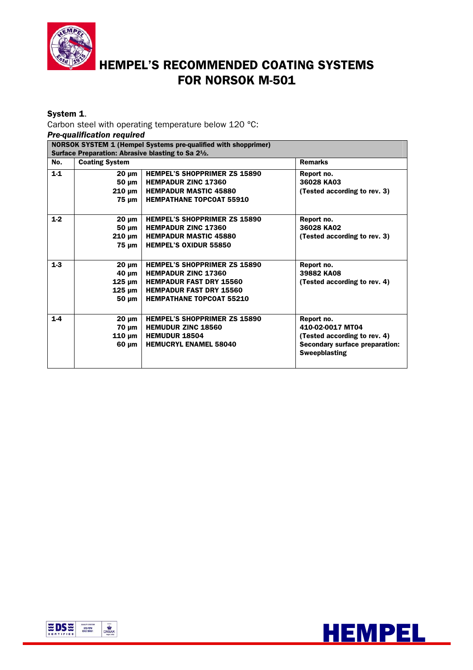

# HEMPEL'S RECOMMENDED COATING SYSTEMS FOR NORSOK M-501

# System 1.

Carbon steel with operating temperature below 120 °C:

*Pre-qualification required*

| <b>NORSOK SYSTEM 1 (Hempel Systems pre-qualified with shopprimer)</b> |                                                    |                                     |                                       |  |
|-----------------------------------------------------------------------|----------------------------------------------------|-------------------------------------|---------------------------------------|--|
|                                                                       | Surface Preparation: Abrasive blasting to Sa 21/2. |                                     |                                       |  |
| No.                                                                   | <b>Coating System</b>                              |                                     | <b>Remarks</b>                        |  |
| $1-1$                                                                 | 20 µm                                              | <b>HEMPEL'S SHOPPRIMER ZS 15890</b> | Report no.                            |  |
|                                                                       | 50 um                                              | <b>HEMPADUR ZINC 17360</b>          | 36028 KA03                            |  |
|                                                                       | $210 \mu m$                                        | <b>HEMPADUR MASTIC 45880</b>        | (Tested according to rev. 3)          |  |
|                                                                       | 75 µm                                              | <b>HEMPATHANE TOPCOAT 55910</b>     |                                       |  |
|                                                                       |                                                    |                                     |                                       |  |
| $1-2$                                                                 | $20 \mu m$                                         | <b>HEMPEL'S SHOPPRIMER ZS 15890</b> | Report no.                            |  |
|                                                                       | 50 um                                              | <b>HEMPADUR ZINC 17360</b>          | 36028 KA02                            |  |
|                                                                       | $210 \mu m$                                        | <b>HEMPADUR MASTIC 45880</b>        | (Tested according to rev. 3)          |  |
|                                                                       | $75 \mu m$                                         | <b>HEMPEL'S OXIDUR 55850</b>        |                                       |  |
|                                                                       |                                                    |                                     |                                       |  |
| $1-3$                                                                 | 20 um                                              | <b>HEMPEL'S SHOPPRIMER ZS 15890</b> | Report no.                            |  |
|                                                                       | 40 µm                                              | <b>HEMPADUR ZINC 17360</b>          | 39882 KA08                            |  |
|                                                                       | $125 \text{ µm}$                                   | <b>HEMPADUR FAST DRY 15560</b>      | (Tested according to rev. 4)          |  |
|                                                                       | $125 \text{ µm}$                                   | <b>HEMPADUR FAST DRY 15560</b>      |                                       |  |
|                                                                       | 50 µm                                              | <b>HEMPATHANE TOPCOAT 55210</b>     |                                       |  |
|                                                                       |                                                    |                                     |                                       |  |
| $1-4$                                                                 | $20 \mu m$                                         | <b>HEMPEL'S SHOPPRIMER ZS 15890</b> | Report no.                            |  |
|                                                                       | $70 \mu m$                                         | <b>HEMUDUR ZINC 18560</b>           | 410-02-0017 MT04                      |  |
|                                                                       | $110 \mu m$                                        | <b>HEMUDUR 18504</b>                | (Tested according to rev. 4)          |  |
|                                                                       | 60 um                                              | <b>HEMUCRYL ENAMEL 58040</b>        | <b>Secondary surface preparation:</b> |  |
|                                                                       |                                                    |                                     | <b>Sweepblasting</b>                  |  |
|                                                                       |                                                    |                                     |                                       |  |



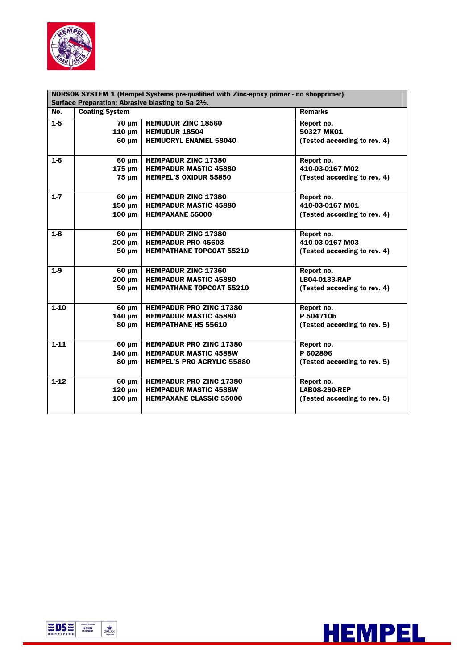

| NORSOK SYSTEM 1 (Hempel Systems pre-qualified with Zinc-epoxy primer - no shopprimer) |                                                    |                                   |                              |  |
|---------------------------------------------------------------------------------------|----------------------------------------------------|-----------------------------------|------------------------------|--|
|                                                                                       | Surface Preparation: Abrasive blasting to Sa 21/2. |                                   |                              |  |
| No.                                                                                   | <b>Coating System</b>                              |                                   | <b>Remarks</b>               |  |
| $1-5$                                                                                 | <b>70 um</b>                                       | <b>HEMUDUR ZINC 18560</b>         | Report no.                   |  |
|                                                                                       | $110 \mu m$                                        | <b>HEMUDUR 18504</b>              | 50327 MK01                   |  |
|                                                                                       | 60 um                                              | <b>HEMUCRYL ENAMEL 58040</b>      | (Tested according to rev. 4) |  |
| $1-6$                                                                                 | $60 \mu m$                                         | <b>HEMPADUR ZINC 17380</b>        | Report no.                   |  |
|                                                                                       | $175 \mu m$                                        | <b>HEMPADUR MASTIC 45880</b>      | 410-03-0167 M02              |  |
|                                                                                       | 75 um                                              | <b>HEMPEL'S OXIDUR 55850</b>      | (Tested according to rev. 4) |  |
| $1 - 7$                                                                               | $60 \mu m$                                         | <b>HEMPADUR ZINC 17380</b>        | Report no.                   |  |
|                                                                                       | $150 \mu m$                                        | <b>HEMPADUR MASTIC 45880</b>      | 410-03-0167 M01              |  |
|                                                                                       | $100 \mu m$                                        | <b>HEMPAXANE 55000</b>            | (Tested according to rev. 4) |  |
| $1-8$                                                                                 | $60 \mu m$                                         | <b>HEMPADUR ZINC 17380</b>        | Report no.                   |  |
|                                                                                       | 200 µm                                             | <b>HEMPADUR PRO 45603</b>         | 410-03-0167 M03              |  |
|                                                                                       | 50 µm                                              | <b>HEMPATHANE TOPCOAT 55210</b>   | (Tested according to rev. 4) |  |
| $1-9$                                                                                 | $60 \mu m$                                         | <b>HEMPADUR ZINC 17360</b>        | Report no.                   |  |
|                                                                                       | $200 \mu m$                                        | <b>HEMPADUR MASTIC 45880</b>      | LB04-0133-RAP                |  |
|                                                                                       | 50 um                                              | <b>HEMPATHANE TOPCOAT 55210</b>   | (Tested according to rev. 4) |  |
| $1-10$                                                                                | 60 um                                              | <b>HEMPADUR PRO ZINC 17380</b>    | Report no.                   |  |
|                                                                                       | $140 \mu m$                                        | <b>HEMPADUR MASTIC 45880</b>      | P 504710b                    |  |
|                                                                                       | 80 um                                              | <b>HEMPATHANE HS 55610</b>        | (Tested according to rev. 5) |  |
| $1-11$                                                                                | $60 \mu m$                                         | <b>HEMPADUR PRO ZINC 17380</b>    | Report no.                   |  |
|                                                                                       | $140 \mu m$                                        | <b>HEMPADUR MASTIC 4588W</b>      | P 602896                     |  |
|                                                                                       | 80 µm                                              | <b>HEMPEL'S PRO ACRYLIC 55880</b> | (Tested according to rev. 5) |  |
| $1-12$                                                                                | $60 \mu m$                                         | <b>HEMPADUR PRO ZINC 17380</b>    | Report no.                   |  |
|                                                                                       | $120 \mu m$                                        | <b>HEMPADUR MASTIC 4588W</b>      | <b>LAB08-290-REP</b>         |  |
|                                                                                       | $100 \mu m$                                        | <b>HEMPAXANE CLASSIC 55000</b>    | (Tested according to rev. 5) |  |
|                                                                                       |                                                    |                                   |                              |  |



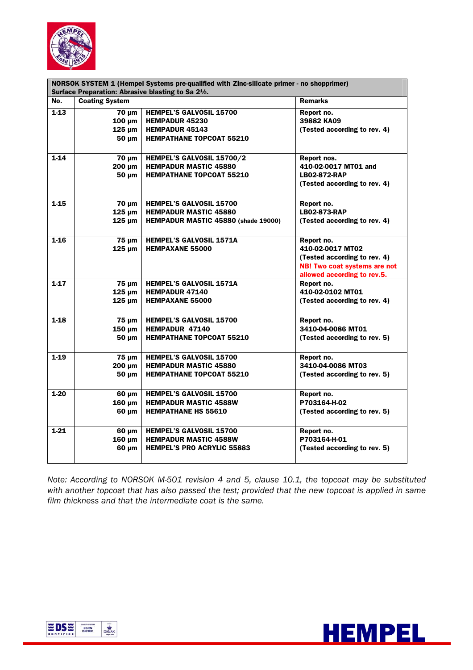

| NORSOK SYSTEM 1 (Hempel Systems pre-qualified with Zinc-silicate primer - no shopprimer) |                       |                                     |                              |
|------------------------------------------------------------------------------------------|-----------------------|-------------------------------------|------------------------------|
| Surface Preparation: Abrasive blasting to Sa 2 <sup>1</sup> /2.                          |                       |                                     |                              |
| No.                                                                                      | <b>Coating System</b> |                                     | <b>Remarks</b>               |
| $1-13$                                                                                   | $70 \mu m$            | <b>HEMPEL'S GALVOSIL 15700</b>      | Report no.                   |
|                                                                                          | $100 \mu m$           | <b>HEMPADUR 45230</b>               | 39882 KA09                   |
|                                                                                          | $125 \mu m$           | <b>HEMPADUR 45143</b>               | (Tested according to rev. 4) |
|                                                                                          | 50 µm                 | <b>HEMPATHANE TOPCOAT 55210</b>     |                              |
| $1 - 14$                                                                                 | $70 \mu m$            | HEMPEL'S GALVOSIL 15700/2           | Report nos.                  |
|                                                                                          | 200 µm                | <b>HEMPADUR MASTIC 45880</b>        | 410-02-0017 MT01 and         |
|                                                                                          | $50 \mu m$            | <b>HEMPATHANE TOPCOAT 55210</b>     | <b>LB02-872-RAP</b>          |
|                                                                                          |                       |                                     | (Tested according to rev. 4) |
| $1-15$                                                                                   | $70 \mu m$            | <b>HEMPEL'S GALVOSIL 15700</b>      | Report no.                   |
|                                                                                          | $125 \mu m$           | <b>HEMPADUR MASTIC 45880</b>        | <b>LB02-873-RAP</b>          |
|                                                                                          | $125 \mu m$           | HEMPADUR MASTIC 45880 (shade 19000) | (Tested according to rev. 4) |
| $1 - 16$                                                                                 | $75 \mu m$            | <b>HEMPEL'S GALVOSIL 1571A</b>      | Report no.                   |
|                                                                                          | $125 \mu m$           | <b>HEMPAXANE 55000</b>              | 410-02-0017 MT02             |
|                                                                                          |                       |                                     | (Tested according to rev. 4) |
|                                                                                          |                       |                                     | NB! Two coat systems are not |
|                                                                                          |                       |                                     | allowed according to rev.5.  |
| $1-17$                                                                                   | 75 µm                 | <b>HEMPEL'S GALVOSIL 1571A</b>      | Report no.                   |
|                                                                                          | $125 \mu m$           | <b>HEMPADUR 47140</b>               | 410-02-0102 MT01             |
|                                                                                          | $125 \mu m$           | <b>HEMPAXANE 55000</b>              | (Tested according to rev. 4) |
| $1-18$                                                                                   | $75 \mu m$            | <b>HEMPEL'S GALVOSIL 15700</b>      | Report no.                   |
|                                                                                          | $150 \mu m$           | <b>HEMPADUR 47140</b>               | 3410-04-0086 MT01            |
|                                                                                          | $50 \mu m$            | <b>HEMPATHANE TOPCOAT 55210</b>     | (Tested according to rev. 5) |
| $1-19$                                                                                   | $75 \mu m$            | <b>HEMPEL'S GALVOSIL 15700</b>      | Report no.                   |
|                                                                                          | 200 um                | <b>HEMPADUR MASTIC 45880</b>        | 3410-04-0086 MT03            |
|                                                                                          | $50 \mu m$            | <b>HEMPATHANE TOPCOAT 55210</b>     | (Tested according to rev. 5) |
| $1-20$                                                                                   | 60 µm                 | <b>HEMPEL'S GALVOSIL 15700</b>      | Report no.                   |
|                                                                                          | $160 \mu m$           | <b>HEMPADUR MASTIC 4588W</b>        | P703164-H-02                 |
|                                                                                          | 60 µm                 | <b>HEMPATHANE HS 55610</b>          | (Tested according to rev. 5) |
| $1 - 21$                                                                                 | $60 \mu m$            | <b>HEMPEL'S GALVOSIL 15700</b>      | Report no.                   |
|                                                                                          | $160 \mu m$           | <b>HEMPADUR MASTIC 4588W</b>        | P703164-H-01                 |
|                                                                                          | $60 \mu m$            | <b>HEMPEL'S PRO ACRYLIC 55883</b>   | (Tested according to rev. 5) |

*Note: According to NORSOK M-501 revision 4 and 5, clause 10.1, the topcoat may be substituted with another topcoat that has also passed the test; provided that the new topcoat is applied in same film thickness and that the intermediate coat is the same.* 



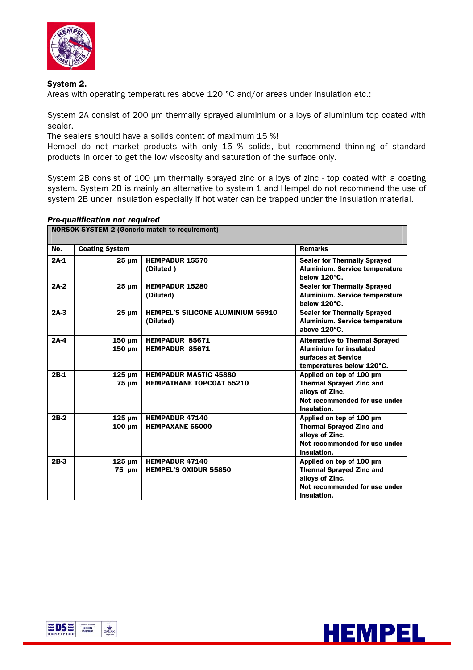

# System 2.

Areas with operating temperatures above 120 °C and/or areas under insulation etc.:

System 2A consist of 200 µm thermally sprayed aluminium or alloys of aluminium top coated with sealer.

The sealers should have a solids content of maximum 15 %!

Hempel do not market products with only 15 % solids, but recommend thinning of standard products in order to get the low viscosity and saturation of the surface only.

System 2B consist of 100 µm thermally sprayed zinc or alloys of zinc - top coated with a coating system. System 2B is mainly an alternative to system 1 and Hempel do not recommend the use of system 2B under insulation especially if hot water can be trapped under the insulation material.

#### *Pre-qualification not required*

| <b>NORSOK SYSTEM 2 (Generic match to requirement)</b> |                            |                                                                 |                                                                                                                                |
|-------------------------------------------------------|----------------------------|-----------------------------------------------------------------|--------------------------------------------------------------------------------------------------------------------------------|
| No.                                                   | <b>Coating System</b>      |                                                                 | <b>Remarks</b>                                                                                                                 |
| $2A-1$                                                | $25 \mu m$                 | <b>HEMPADUR 15570</b><br>(Diluted)                              | <b>Sealer for Thermally Sprayed</b><br>Aluminium. Service temperature<br>below 120°C.                                          |
| $2A-2$                                                | $25 \mu m$                 | <b>HEMPADUR 15280</b><br>(Diluted)                              | <b>Sealer for Thermally Sprayed</b><br>Aluminium. Service temperature<br>below 120°C.                                          |
| $2A-3$                                                | $25 \text{ nm}$            | <b>HEMPEL'S SILICONE ALUMINIUM 56910</b><br>(Diluted)           | <b>Sealer for Thermally Sprayed</b><br>Aluminium. Service temperature<br>above 120°C.                                          |
| $2A-4$                                                | $150 \mu m$<br>$150 \mu m$ | HEMPADUR 85671<br><b>HEMPADUR 85671</b>                         | <b>Alternative to Thermal Sprayed</b><br><b>Aluminium for insulated</b><br>surfaces at Service<br>temperatures below 120°C.    |
| $2B-1$                                                | $125 \mu m$<br>$75 \mu m$  | <b>HEMPADUR MASTIC 45880</b><br><b>HEMPATHANE TOPCOAT 55210</b> | Applied on top of 100 µm<br><b>Thermal Sprayed Zinc and</b><br>alloys of Zinc.<br>Not recommended for use under<br>Insulation. |
| 2B-2                                                  | $125 \mu m$<br>100 um      | <b>HEMPADUR 47140</b><br><b>HEMPAXANE 55000</b>                 | Applied on top of 100 µm<br><b>Thermal Sprayed Zinc and</b><br>alloys of Zinc.<br>Not recommended for use under<br>Insulation. |
| $2B-3$                                                | $125 \mu m$<br>$75 \mu m$  | <b>HEMPADUR 47140</b><br><b>HEMPEL'S OXIDUR 55850</b>           | Applied on top of 100 µm<br><b>Thermal Sprayed Zinc and</b><br>allovs of Zinc.<br>Not recommended for use under<br>Insulation. |



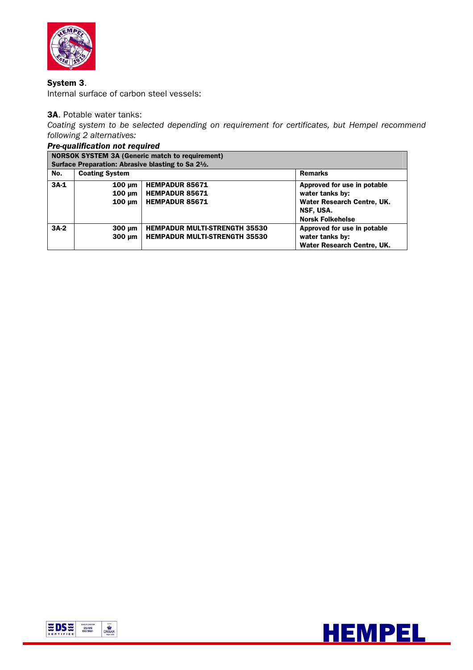

# System 3.

Internal surface of carbon steel vessels:

### 3A. Potable water tanks:

*Coating system to be selected depending on requirement for certificates, but Hempel recommend following 2 alternatives:* 

|        | <b>Pre-qualification not required</b>                                        |                                      |                             |  |  |
|--------|------------------------------------------------------------------------------|--------------------------------------|-----------------------------|--|--|
|        | <b>NORSOK SYSTEM 3A (Generic match to requirement)</b>                       |                                      |                             |  |  |
|        | Surface Preparation: Abrasive blasting to Sa 2 <sup>1</sup> / <sub>2</sub> . |                                      |                             |  |  |
| No.    | <b>Coating System</b>                                                        |                                      | <b>Remarks</b>              |  |  |
| $3A-1$ | $100 \mu m$                                                                  | <b>HEMPADUR 85671</b>                | Approved for use in potable |  |  |
|        | $100 \mu m$                                                                  | <b>HEMPADUR 85671</b>                | water tanks by:             |  |  |
|        | $100 \mu m$                                                                  | <b>HEMPADUR 85671</b>                | Water Research Centre, UK.  |  |  |
|        |                                                                              |                                      | NSF, USA.                   |  |  |
|        |                                                                              |                                      | <b>Norsk Folkehelse</b>     |  |  |
| $3A-2$ | 300 um                                                                       | <b>HEMPADUR MULTI-STRENGTH 35530</b> | Approved for use in potable |  |  |
|        | $300 \mu m$                                                                  | <b>HEMPADUR MULTI-STRENGTH 35530</b> | water tanks by:             |  |  |
|        |                                                                              |                                      | Water Research Centre, UK.  |  |  |



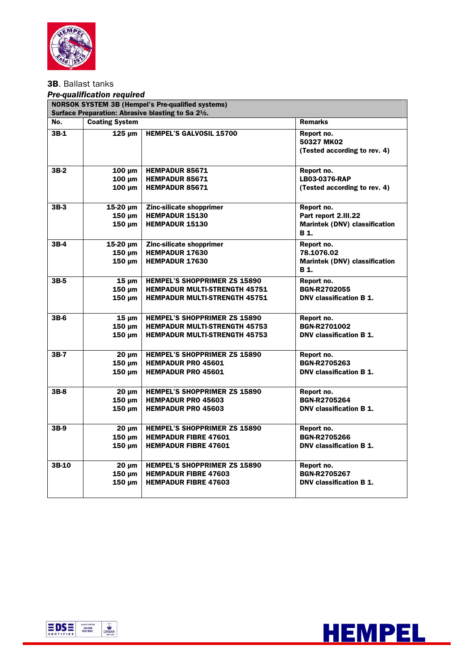

# 3B. Ballast tanks

#### *Pre-qualification required*

|        | <b>NORSOK SYSTEM 3B (Hempel's Pre-qualified systems)</b><br>Surface Preparation: Abrasive blasting to Sa 2 <sup>1</sup> /2. |                                                                            |                                                                             |  |
|--------|-----------------------------------------------------------------------------------------------------------------------------|----------------------------------------------------------------------------|-----------------------------------------------------------------------------|--|
| No.    | <b>Coating System</b>                                                                                                       |                                                                            | <b>Remarks</b>                                                              |  |
| $3B-1$ | $125 \mu m$                                                                                                                 | <b>HEMPEL'S GALVOSIL 15700</b>                                             | Report no.<br>50327 MK02<br>(Tested according to rev. 4)                    |  |
| $3B-2$ | $100 \mu m$                                                                                                                 | <b>HEMPADUR 85671</b>                                                      | Report no.                                                                  |  |
|        | $100 \mu m$                                                                                                                 | <b>HEMPADUR 85671</b>                                                      | LB03-0376-RAP                                                               |  |
|        | 100 um                                                                                                                      | <b>HEMPADUR 85671</b>                                                      | (Tested according to rev. 4)                                                |  |
| $3B-3$ | $15-20 \mu m$<br>$150 \mu m$<br>$150 \mu m$                                                                                 | Zinc-silicate shopprimer<br><b>HEMPADUR 15130</b><br><b>HEMPADUR 15130</b> | Report no.<br>Part report 2.III.22<br>Marintek (DNV) classification<br>B 1. |  |
| $3B-4$ | $15-20 \mu m$<br>$150 \mu m$<br>$150 \mu m$                                                                                 | Zinc-silicate shopprimer<br><b>HEMPADUR 17630</b><br><b>HEMPADUR 17630</b> | Report no.<br>78.1076.02<br><b>Marintek (DNV) classification</b><br>B 1.    |  |
| 3B-5   | $15 \mu m$                                                                                                                  | <b>HEMPEL'S SHOPPRIMER ZS 15890</b>                                        | Report no.                                                                  |  |
|        | $150 \mu m$                                                                                                                 | <b>HEMPADUR MULTI-STRENGTH 45751</b>                                       | <b>BGN-R2702055</b>                                                         |  |
|        | $150 \mu m$                                                                                                                 | <b>HEMPADUR MULTI-STRENGTH 45751</b>                                       | DNV classification B 1.                                                     |  |
| $3B-6$ | $15 \mu m$                                                                                                                  | <b>HEMPEL'S SHOPPRIMER ZS 15890</b>                                        | Report no.                                                                  |  |
|        | $150 \mu m$                                                                                                                 | <b>HEMPADUR MULTI-STRENGTH 45753</b>                                       | BGN-R2701002                                                                |  |
|        | 150 um                                                                                                                      | <b>HEMPADUR MULTI-STRENGTH 45753</b>                                       | DNV classification B 1.                                                     |  |
| $3B-7$ | $20 \mu m$                                                                                                                  | <b>HEMPEL'S SHOPPRIMER ZS 15890</b>                                        | Report no.                                                                  |  |
|        | 150 µm                                                                                                                      | <b>HEMPADUR PRO 45601</b>                                                  | <b>BGN-R2705263</b>                                                         |  |
|        | 150 um                                                                                                                      | <b>HEMPADUR PRO 45601</b>                                                  | DNV classification B 1.                                                     |  |
| $3B-8$ | $20 \mu m$                                                                                                                  | <b>HEMPEL'S SHOPPRIMER ZS 15890</b>                                        | Report no.                                                                  |  |
|        | $150 \mu m$                                                                                                                 | <b>HEMPADUR PRO 45603</b>                                                  | BGN-R2705264                                                                |  |
|        | $150 \mu m$                                                                                                                 | <b>HEMPADUR PRO 45603</b>                                                  | DNV classification B 1.                                                     |  |
| $3B-9$ | $20 \mu m$                                                                                                                  | <b>HEMPEL'S SHOPPRIMER ZS 15890</b>                                        | Report no.                                                                  |  |
|        | $150 \mu m$                                                                                                                 | <b>HEMPADUR FIBRE 47601</b>                                                | <b>BGN-R2705266</b>                                                         |  |
|        | $150 \mu m$                                                                                                                 | <b>HEMPADUR FIBRE 47601</b>                                                | DNV classification B 1.                                                     |  |
| 3B-10  | $20 \mu m$                                                                                                                  | <b>HEMPEL'S SHOPPRIMER ZS 15890</b>                                        | Report no.                                                                  |  |
|        | $150 \mu m$                                                                                                                 | <b>HEMPADUR FIBRE 47603</b>                                                | BGN-R2705267                                                                |  |
|        | $150 \mu m$                                                                                                                 | <b>HEMPADUR FIBRE 47603</b>                                                | DNV classification B 1.                                                     |  |



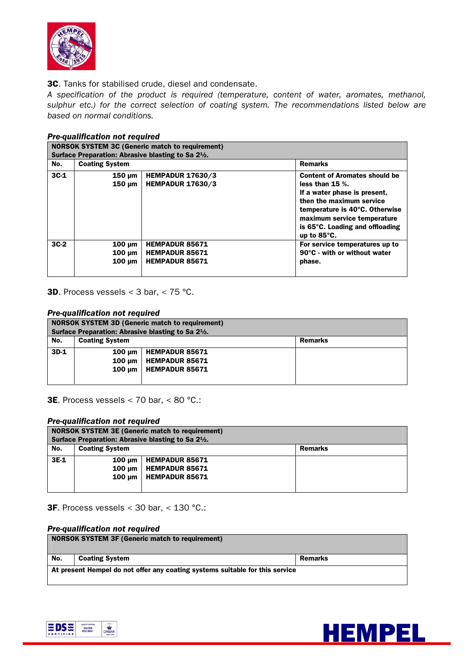

3C. Tanks for stabilised crude, diesel and condensate.

*A specification of the product is required (temperature, content of water, aromates, methanol, sulphur etc.) for the correct selection of coating system. The recommendations listed below are based on normal conditions.* 

|        | <b>NORSOK SYSTEM 3C (Generic match to requirement)</b><br>Surface Preparation: Abrasive blasting to Sa 2 <sup>1</sup> / <sub>2</sub> . |                                                                         |                                                                                                                                                                                                                                                    |  |  |
|--------|----------------------------------------------------------------------------------------------------------------------------------------|-------------------------------------------------------------------------|----------------------------------------------------------------------------------------------------------------------------------------------------------------------------------------------------------------------------------------------------|--|--|
| No.    | <b>Coating System</b>                                                                                                                  |                                                                         | <b>Remarks</b>                                                                                                                                                                                                                                     |  |  |
| $3C-1$ | $150 \mu m$<br>$150 \mu m$                                                                                                             | <b>HEMPADUR 17630/3</b><br><b>HEMPADUR 17630/3</b>                      | <b>Content of Aromates should be</b><br>less than $15$ %.<br>If a water phase is present,<br>then the maximum service<br>temperature is 40°C. Otherwise<br>maximum service temperature<br>is 65°C. Loading and offloading<br>up to $85^{\circ}$ C. |  |  |
| $3C-2$ | $100 \text{ um}$<br>100 um<br>$100 \mu m$                                                                                              | <b>HEMPADUR 85671</b><br><b>HEMPADUR 85671</b><br><b>HEMPADUR 85671</b> | For service temperatures up to<br>90°C - with or without water<br>phase.                                                                                                                                                                           |  |  |

# *Pre-qualification not required*

**3D.** Process vessels  $<$  3 bar,  $<$  75 °C.

#### *Pre-qualification not required*

| <b>NORSOK SYSTEM 3D (Generic match to requirement)</b> |                       |                                                                              |                |
|--------------------------------------------------------|-----------------------|------------------------------------------------------------------------------|----------------|
|                                                        |                       | Surface Preparation: Abrasive blasting to Sa 2 <sup>1</sup> / <sub>2</sub> . |                |
| No.                                                    | <b>Coating System</b> |                                                                              | <b>Remarks</b> |
| $3D-1$                                                 | $100 \text{ um}$      | <b>HEMPADUR 85671</b>                                                        |                |
|                                                        | 100 um                | HEMPADUR 85671                                                               |                |
|                                                        | $100 \text{ um}$      | HEMPADUR 85671                                                               |                |
|                                                        |                       |                                                                              |                |

3E. Process vessels < 70 bar, < 80 °C.:

#### *Pre-qualification not required*

|      | <b>NORSOK SYSTEM 3E (Generic match to requirement)</b> |                                                                              |                |  |
|------|--------------------------------------------------------|------------------------------------------------------------------------------|----------------|--|
|      |                                                        | Surface Preparation: Abrasive blasting to Sa 2 <sup>1</sup> / <sub>2</sub> . |                |  |
| No.  | <b>Coating System</b>                                  |                                                                              | <b>Remarks</b> |  |
| 3E-1 | 100 um                                                 | <b>HEMPADUR 85671</b>                                                        |                |  |
|      | $100 \text{ um}$                                       | <b>HEMPADUR 85671</b>                                                        |                |  |
|      | 100 um                                                 | <b>HEMPADUR 85671</b>                                                        |                |  |
|      |                                                        |                                                                              |                |  |

3F. Process vessels < 30 bar, < 130 °C.:

#### *Pre-qualification not required*

| <b>NORSOK SYSTEM 3F (Generic match to requirement)</b>                       |                       |         |  |  |
|------------------------------------------------------------------------------|-----------------------|---------|--|--|
| No.                                                                          | <b>Coating System</b> | Remarks |  |  |
| At present Hempel do not offer any coating systems suitable for this service |                       |         |  |  |



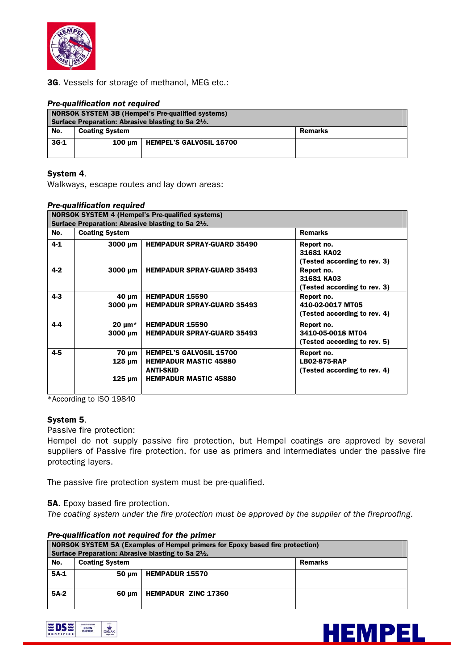

3G. Vessels for storage of methanol, MEG etc.:

#### *Pre-qualification not required*

| <b>NORSOK SYSTEM 3B (Hempel's Pre-qualified systems)</b><br>Surface Preparation: Abrasive blasting to Sa 2 <sup>1</sup> / <sub>2</sub> . |                       |                                |         |
|------------------------------------------------------------------------------------------------------------------------------------------|-----------------------|--------------------------------|---------|
| No.                                                                                                                                      | <b>Coating System</b> |                                | Remarks |
| $3G-1$                                                                                                                                   | $100 \text{ um}$      | <b>HEMPEL'S GALVOSIL 15700</b> |         |

#### System 4.

Walkways, escape routes and lay down areas:

#### *Pre-qualification required*

|         |                                                    | <b>NORSOK SYSTEM 4 (Hempel's Pre-qualified systems)</b>                                                            |                                                                   |
|---------|----------------------------------------------------|--------------------------------------------------------------------------------------------------------------------|-------------------------------------------------------------------|
|         | Surface Preparation: Abrasive blasting to Sa 21/2. |                                                                                                                    |                                                                   |
| No.     | <b>Coating System</b>                              |                                                                                                                    | <b>Remarks</b>                                                    |
| $4-1$   | 3000 um                                            | <b>HEMPADUR SPRAY-GUARD 35490</b>                                                                                  | Report no.<br>31681 KA02<br>(Tested according to rev. 3)          |
| $4 - 2$ | 3000 µm                                            | <b>HEMPADUR SPRAY-GUARD 35493</b>                                                                                  | Report no.<br>31681 KA03<br>(Tested according to rev. 3)          |
| $4 - 3$ | $40 \mu m$<br>$3000 \mu m$                         | <b>HEMPADUR 15590</b><br><b>HEMPADUR SPRAY-GUARD 35493</b>                                                         | Report no.<br>410-02-0017 MT05<br>(Tested according to rev. 4)    |
| $4 - 4$ | 20 $\mu$ m <sup>*</sup><br>$3000 \mu m$            | <b>HEMPADUR 15590</b><br><b>HEMPADUR SPRAY-GUARD 35493</b>                                                         | Report no.<br>3410-05-0018 MT04<br>(Tested according to rev. 5)   |
| $4-5$   | 70 µm<br>125 µm<br>125 µm                          | <b>HEMPEL'S GALVOSIL 15700</b><br><b>HEMPADUR MASTIC 45880</b><br><b>ANTI-SKID</b><br><b>HEMPADUR MASTIC 45880</b> | Report no.<br><b>LB02-875-RAP</b><br>(Tested according to rev. 4) |

\*According to ISO 19840

#### System 5.

Passive fire protection:

Hempel do not supply passive fire protection, but Hempel coatings are approved by several suppliers of Passive fire protection, for use as primers and intermediates under the passive fire protecting layers.

The passive fire protection system must be pre-qualified.

**5A.** Epoxy based fire protection.

*The coating system under the fire protection must be approved by the supplier of the fireproofing*.

| NORSOK SYSTEM 5A (Examples of Hempel primers for Epoxy based fire protection)<br>Surface Preparation: Abrasive blasting to Sa 2 <sup>1</sup> / <sub>2</sub> . |                                         |                            |  |
|---------------------------------------------------------------------------------------------------------------------------------------------------------------|-----------------------------------------|----------------------------|--|
| No.                                                                                                                                                           | <b>Coating System</b><br><b>Remarks</b> |                            |  |
| $5A-1$                                                                                                                                                        | 50 um                                   | <b>HEMPADUR 15570</b>      |  |
| $5A-2$                                                                                                                                                        | 60 um                                   | <b>HEMPADUR ZINC 17360</b> |  |

#### *Pre-qualification not required for the primer*



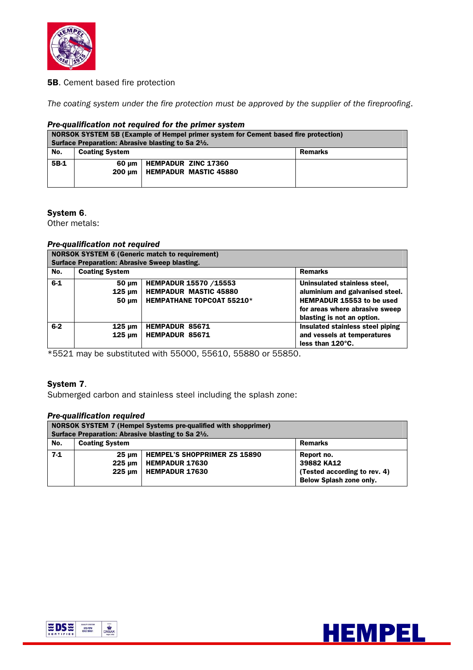

## **5B.** Cement based fire protection

*The coating system under the fire protection must be approved by the supplier of the fireproofing*.

#### *Pre-qualification not required for the primer system*

| NORSOK SYSTEM 5B (Example of Hempel primer system for Cement based fire protection)<br>Surface Preparation: Abrasive blasting to Sa 2 <sup>1</sup> / <sub>2</sub> . |                                  |                                                            |  |  |
|---------------------------------------------------------------------------------------------------------------------------------------------------------------------|----------------------------------|------------------------------------------------------------|--|--|
| No.                                                                                                                                                                 | <b>Coating System</b><br>Remarks |                                                            |  |  |
| 5B-1                                                                                                                                                                | 60 um<br>200 um                  | <b>HEMPADUR ZINC 17360</b><br><b>HEMPADUR MASTIC 45880</b> |  |  |

#### System 6.

Other metals:

#### *Pre-qualification not required*

| <b>NORSOK SYSTEM 6 (Generic match to requirement)</b> |                                                      |                                  |                                  |  |
|-------------------------------------------------------|------------------------------------------------------|----------------------------------|----------------------------------|--|
|                                                       | <b>Surface Preparation: Abrasive Sweep blasting.</b> |                                  |                                  |  |
| No.                                                   | <b>Coating System</b>                                |                                  | <b>Remarks</b>                   |  |
| $6 - 1$                                               | $50 \mu m$                                           | HEMPADUR 15570 /15553            | Uninsulated stainless steel,     |  |
|                                                       | 125 um                                               | <b>HEMPADUR MASTIC 45880</b>     | aluminium and galvanised steel.  |  |
|                                                       | $50 \mu m$                                           | <b>HEMPATHANE TOPCOAT 55210*</b> | HEMPADUR 15553 to be used        |  |
|                                                       |                                                      |                                  | for areas where abrasive sweep   |  |
|                                                       |                                                      |                                  | blasting is not an option.       |  |
| $6-2$                                                 | $125 \mu m$                                          | <b>HEMPADUR 85671</b>            | Insulated stainless steel piping |  |
|                                                       | $125 \mu m$                                          | <b>HEMPADUR 85671</b>            | and vessels at temperatures      |  |
|                                                       |                                                      |                                  | less than 120°C.                 |  |

\*5521 may be substituted with 55000, 55610, 55880 or 55850.

# System 7.

Submerged carbon and stainless steel including the splash zone:

#### *Pre-qualification required*

| <b>NORSOK SYSTEM 7 (Hempel Systems pre-qualified with shopprimer)</b><br>Surface Preparation: Abrasive blasting to Sa 2 <sup>1</sup> / <sub>2</sub> . |                                         |                                     |                              |  |  |
|-------------------------------------------------------------------------------------------------------------------------------------------------------|-----------------------------------------|-------------------------------------|------------------------------|--|--|
| No.                                                                                                                                                   | <b>Coating System</b><br><b>Remarks</b> |                                     |                              |  |  |
| $7-1$                                                                                                                                                 | $25 \text{ nm}$                         | <b>HEMPEL'S SHOPPRIMER ZS 15890</b> | Report no.                   |  |  |
|                                                                                                                                                       | 225 um                                  | <b>HEMPADUR 17630</b>               | 39882 KA12                   |  |  |
|                                                                                                                                                       | 225 um                                  | <b>HEMPADUR 17630</b>               | (Tested according to rev. 4) |  |  |
|                                                                                                                                                       | Below Splash zone only.                 |                                     |                              |  |  |



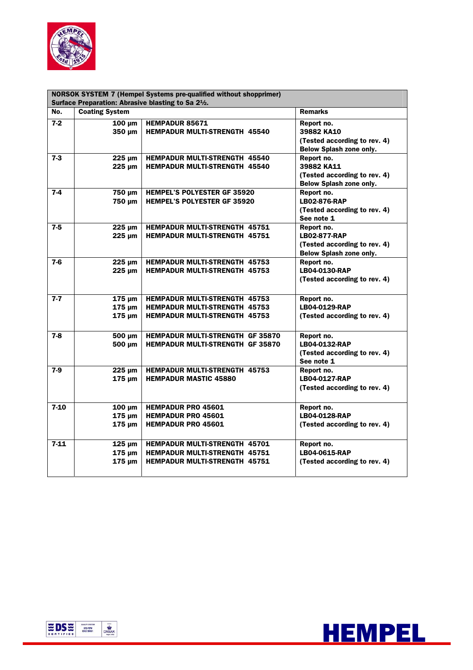

| <b>NORSOK SYSTEM 7 (Hempel Systems pre-qualified without shopprimer)</b> |                                           |                                                                                                                      |                                                                                                     |  |
|--------------------------------------------------------------------------|-------------------------------------------|----------------------------------------------------------------------------------------------------------------------|-----------------------------------------------------------------------------------------------------|--|
| Surface Preparation: Abrasive blasting to Sa 2 <sup>1</sup> /2.          |                                           |                                                                                                                      |                                                                                                     |  |
| No.                                                                      | <b>Coating System</b>                     |                                                                                                                      | <b>Remarks</b>                                                                                      |  |
| $7-2$                                                                    | $100 \mu m$<br>350 µm                     | <b>HEMPADUR 85671</b><br><b>HEMPADUR MULTI-STRENGTH 45540</b>                                                        | Report no.<br>39882 KA10<br>(Tested according to rev. 4)<br><b>Below Splash zone only.</b>          |  |
| $7-3$                                                                    | $225 \mu m$<br>$225 \mu m$                | <b>HEMPADUR MULTI-STRENGTH 45540</b><br><b>HEMPADUR MULTI-STRENGTH 45540</b>                                         | Report no.<br>39882 KA11<br>(Tested according to rev. 4)<br><b>Below Splash zone only.</b>          |  |
| $7-4$                                                                    | 750 µm<br>750 µm                          | <b>HEMPEL'S POLYESTER GF 35920</b><br><b>HEMPEL'S POLYESTER GF 35920</b>                                             | Report no.<br><b>LB02-876-RAP</b><br>(Tested according to rev. 4)<br>See note 1                     |  |
| $7-5$                                                                    | $225 \mu m$<br>$225 \mu m$                | <b>HEMPADUR MULTI-STRENGTH 45751</b><br><b>HEMPADUR MULTI-STRENGTH 45751</b>                                         | Report no.<br><b>LB02-877-RAP</b><br>(Tested according to rev. 4)<br><b>Below Splash zone only.</b> |  |
| $7-6$                                                                    | $225 \mu m$<br>$225 \mu m$                | <b>HEMPADUR MULTI-STRENGTH 45753</b><br><b>HEMPADUR MULTI-STRENGTH 45753</b>                                         | Report no.<br>LB04-0130-RAP<br>(Tested according to rev. 4)                                         |  |
| $7-7$                                                                    | $175 \mu m$<br>$175 \mu m$<br>$175 \mu m$ | <b>HEMPADUR MULTI-STRENGTH 45753</b><br><b>HEMPADUR MULTI-STRENGTH 45753</b><br><b>HEMPADUR MULTI-STRENGTH 45753</b> | Report no.<br>LB04-0129-RAP<br>(Tested according to rev. 4)                                         |  |
| $7-8$                                                                    | 500 µm<br>500 µm                          | <b>HEMPADUR MULTI-STRENGTH GF 35870</b><br><b>HEMPADUR MULTI-STRENGTH GF 35870</b>                                   | Report no.<br>LB04-0132-RAP<br>(Tested according to rev. 4)<br>See note 1                           |  |
| $7-9$                                                                    | $225 \mu m$<br>$175 \mu m$                | <b>HEMPADUR MULTI-STRENGTH 45753</b><br><b>HEMPADUR MASTIC 45880</b>                                                 | Report no.<br>LB04-0127-RAP<br>(Tested according to rev. 4)                                         |  |
| $7-10$                                                                   | $100 \mu m$<br>$175 \mu m$<br>$175 \mu m$ | <b>HEMPADUR PRO 45601</b><br><b>HEMPADUR PRO 45601</b><br><b>HEMPADUR PRO 45601</b>                                  | Report no.<br>LB04-0128-RAP<br>(Tested according to rev. 4)                                         |  |
| $7-11$                                                                   | $125 \mu m$<br>$175 \mu m$<br>$175 \mu m$ | <b>HEMPADUR MULTI-STRENGTH 45701</b><br><b>HEMPADUR MULTI-STRENGTH 45751</b><br><b>HEMPADUR MULTI-STRENGTH 45751</b> | Report no.<br>LB04-0615-RAP<br>(Tested according to rev. 4)                                         |  |



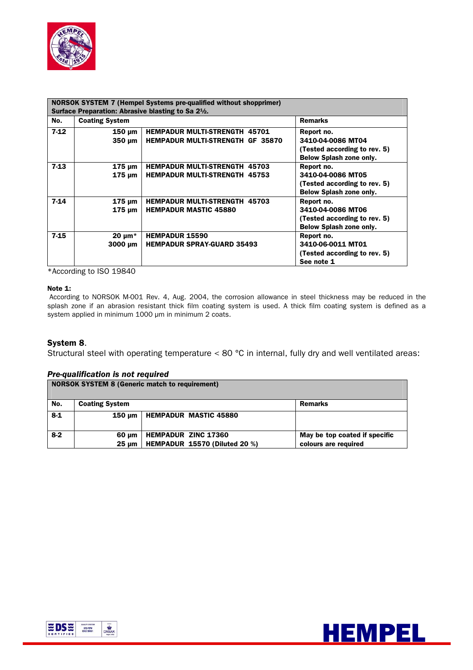

| <b>NORSOK SYSTEM 7 (Hempel Systems pre-qualified without shopprimer)</b>     |                                    |                                                                                 |                                                                                                   |  |
|------------------------------------------------------------------------------|------------------------------------|---------------------------------------------------------------------------------|---------------------------------------------------------------------------------------------------|--|
| Surface Preparation: Abrasive blasting to Sa 2 <sup>1</sup> / <sub>2</sub> . |                                    |                                                                                 |                                                                                                   |  |
| No.                                                                          | <b>Coating System</b>              |                                                                                 | <b>Remarks</b>                                                                                    |  |
| $7-12$                                                                       | $150 \mu m$<br>$350 \mu m$         | <b>HEMPADUR MULTI-STRENGTH 45701</b><br><b>HEMPADUR MULTI-STRENGTH GF 35870</b> | Report no.<br>3410-04-0086 MT04<br>(Tested according to rev. 5)<br>Below Splash zone only.        |  |
| $7-13$                                                                       | $175 \mu m$<br>$175 \mu m$         | <b>HEMPADUR MULTI-STRENGTH 45703</b><br><b>HEMPADUR MULTI-STRENGTH 45753</b>    | Report no.<br>3410-04-0086 MT05<br>(Tested according to rev. 5)<br>Below Splash zone only.        |  |
| $7-14$                                                                       | $175 \mu m$<br>$175 \mu m$         | <b>HEMPADUR MULTI-STRENGTH 45703</b><br><b>HEMPADUR MASTIC 45880</b>            | Report no.<br>3410-04-0086 MT06<br>(Tested according to rev. 5)<br><b>Below Splash zone only.</b> |  |
| $7-15$                                                                       | 20 $\mu$ m <sup>*</sup><br>3000 um | <b>HEMPADUR 15590</b><br><b>HEMPADUR SPRAY-GUARD 35493</b>                      | Report no.<br>3410-06-0011 MT01<br>(Tested according to rev. 5)<br>See note 1                     |  |

\*According to ISO 19840

#### Note 1:

According to NORSOK M-001 Rev. 4, Aug. 2004, the corrosion allowance in steel thickness may be reduced in the splash zone if an abrasion resistant thick film coating system is used. A thick film coating system is defined as a system applied in minimum 1000 µm in minimum 2 coats.

#### System 8.

Structural steel with operating temperature < 80 °C in internal, fully dry and well ventilated areas:

#### *Pre-qualification is not required*

|       | <b>NORSOK SYSTEM 8 (Generic match to requirement)</b> |                                                             |                                                       |  |  |
|-------|-------------------------------------------------------|-------------------------------------------------------------|-------------------------------------------------------|--|--|
| No.   | <b>Coating System</b>                                 |                                                             | <b>Remarks</b>                                        |  |  |
| $8-1$ | 150 um                                                | <b>HEMPADUR MASTIC 45880</b>                                |                                                       |  |  |
| $8-2$ | 60 um<br>$25 \text{ nm}$                              | <b>HEMPADUR ZINC 17360</b><br>HEMPADUR 15570 (Diluted 20 %) | May be top coated if specific<br>colours are required |  |  |